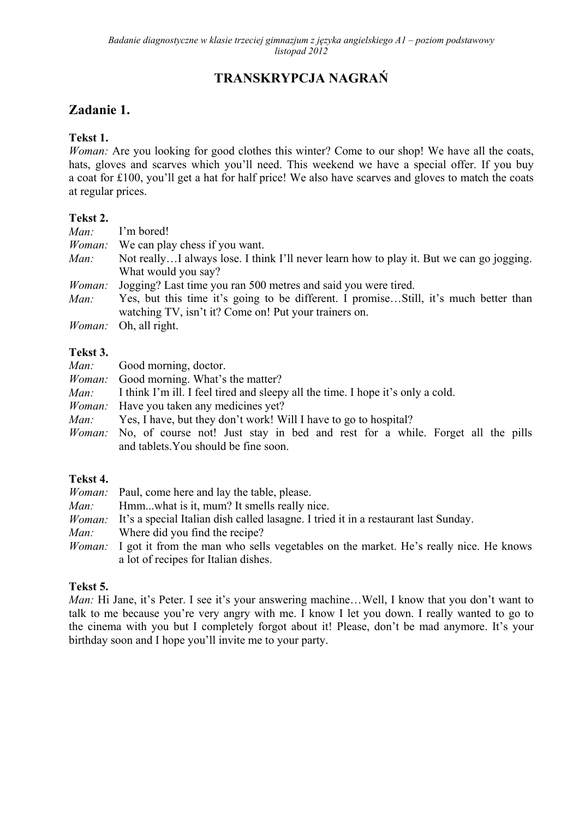# **TRANSKRYPCJA NAGRAŃ**

### **Zadanie 1.**

### **Tekst 1.**

*Woman:* Are you looking for good clothes this winter? Come to our shop! We have all the coats, hats, gloves and scarves which you'll need. This weekend we have a special offer. If you buy a coat for £100, you'll get a hat for half price! We also have scarves and gloves to match the coats at regular prices.

### **Tekst 2.**

| Man:   | I'm bored!                                                                                |
|--------|-------------------------------------------------------------------------------------------|
|        | <i>Woman</i> : We can play chess if you want.                                             |
| Man:   | Not really I always lose. I think I'll never learn how to play it. But we can go jogging. |
|        | What would you say?                                                                       |
| Woman: | Jogging? Last time you ran 500 metres and said you were tired.                            |
| Man:   | Yes, but this time it's going to be different. I promiseStill, it's much better than      |
|        | watching TV, isn't it? Come on! Put your trainers on.                                     |
|        | <i>Woman:</i> Oh, all right.                                                              |

#### **Tekst 3.**

| <i>Man:</i> Good morning, doctor.                                                            |
|----------------------------------------------------------------------------------------------|
| <i>Woman:</i> Good morning. What's the matter?                                               |
| <i>Man:</i> I think I'm ill. I feel tired and sleepy all the time. I hope it's only a cold.  |
| <i>Woman:</i> Have you taken any medicines yet?                                              |
| <i>Man:</i> Yes, I have, but they don't work! Will I have to go to hospital?                 |
| <i>Woman:</i> No, of course not! Just stay in bed and rest for a while. Forget all the pills |
| and tablets. You should be fine soon.                                                        |

### **Tekst 4.**

|      | <i>Woman</i> : Paul, come here and lay the table, please.                                           |
|------|-----------------------------------------------------------------------------------------------------|
| Man: | Hmmwhat is it, mum? It smells really nice.                                                          |
|      | <i>Woman</i> : It's a special Italian dish called lasagne. I tried it in a restaurant last Sunday.  |
| Man: | Where did you find the recipe?                                                                      |
|      | <i>Woman</i> : I got it from the man who sells vegetables on the market. He's really nice. He knows |
|      | a lot of recipes for Italian dishes.                                                                |

### **Tekst 5.**

*Man:* Hi Jane, it's Peter. I see it's your answering machine...Well, I know that you don't want to talk to me because you're very angry with me. I know I let you down. I really wanted to go to the cinema with you but I completely forgot about it! Please, don't be mad anymore. It's your birthday soon and I hope you'll invite me to your party.